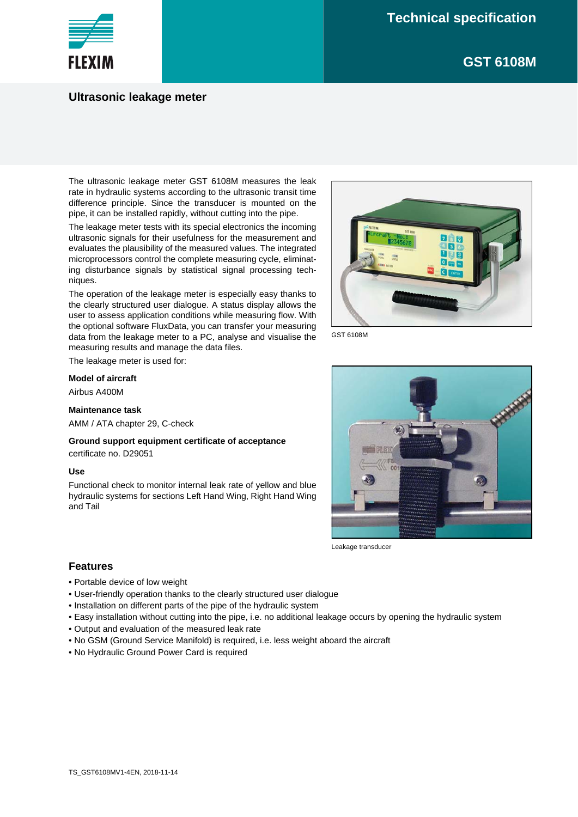**GST 6108M**



## **Ultrasonic leakage meter**

The ultrasonic leakage meter GST 6108M measures the leak rate in hydraulic systems according to the ultrasonic transit time difference principle. Since the transducer is mounted on the pipe, it can be installed rapidly, without cutting into the pipe.

The leakage meter tests with its special electronics the incoming ultrasonic signals for their usefulness for the measurement and evaluates the plausibility of the measured values. The integrated microprocessors control the complete measuring cycle, eliminating disturbance signals by statistical signal processing techniques.

The operation of the leakage meter is especially easy thanks to the clearly structured user dialogue. A status display allows the user to assess application conditions while measuring flow. With the optional software FluxData, you can transfer your measuring data from the leakage meter to a PC, analyse and visualise the measuring results and manage the data files.

The leakage meter is used for:

#### **Model of aircraft**

Airbus A400M

#### **Maintenance task**

AMM / ATA chapter 29, C-check

**Ground support equipment certificate of acceptance** certificate no. D29051

#### **Use**

Functional check to monitor internal leak rate of yellow and blue hydraulic systems for sections Left Hand Wing, Right Hand Wing and Tail



GST 6108M



Leakage transducer

### **Features**

- Portable device of low weight
- User-friendly operation thanks to the clearly structured user dialogue
- Installation on different parts of the pipe of the hydraulic system
- Easy installation without cutting into the pipe, i.e. no additional leakage occurs by opening the hydraulic system
- Output and evaluation of the measured leak rate
- No GSM (Ground Service Manifold) is required, i.e. less weight aboard the aircraft
- No Hydraulic Ground Power Card is required